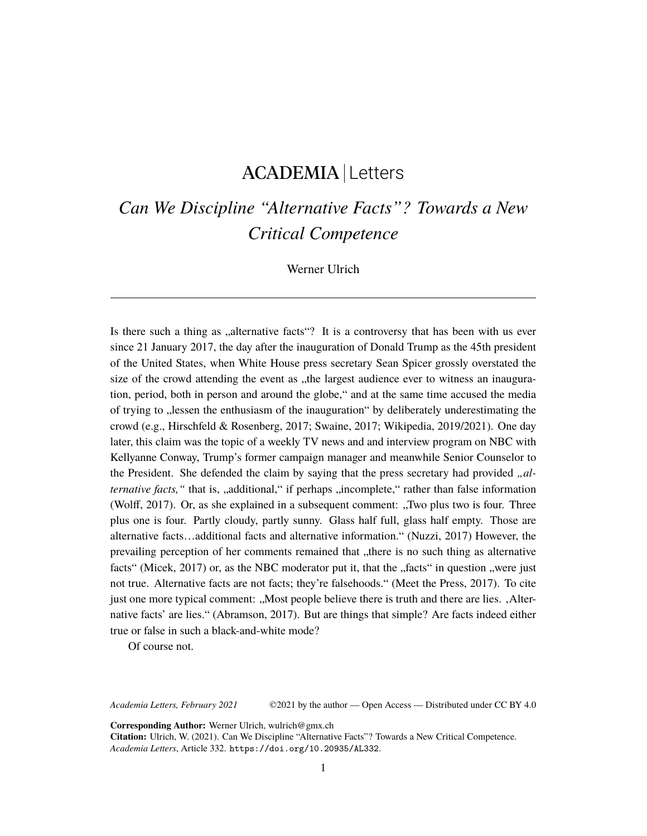# ACADEMIA Letters

# *Can We Discipline "Alternative Facts"? Towards a New Critical Competence*

Werner Ulrich

Is there such a thing as "alternative facts"? It is a controversy that has been with us ever since 21 January 2017, the day after the inauguration of Donald Trump as the 45th president of the United States, when White House press secretary Sean Spicer grossly overstated the size of the crowd attending the event as "the largest audience ever to witness an inauguration, period, both in person and around the globe," and at the same time accused the media of trying to "lessen the enthusiasm of the inauguration" by deliberately underestimating the crowd (e.g., Hirschfeld & Rosenberg, 2017; Swaine, 2017; Wikipedia, 2019/2021). One day later, this claim was the topic of a weekly TV news and and interview program on NBC with Kellyanne Conway, Trump's former campaign manager and meanwhile Senior Counselor to the President. She defended the claim by saying that the press secretary had provided *"alternative facts*, " that is, "additional," if perhaps "incomplete," rather than false information (Wolff, 2017). Or, as she explained in a subsequent comment: ,,Two plus two is four. Three plus one is four. Partly cloudy, partly sunny. Glass half full, glass half empty. Those are alternative facts…additional facts and alternative information." (Nuzzi, 2017) However, the prevailing perception of her comments remained that "there is no such thing as alternative facts" (Micek,  $2017$ ) or, as the NBC moderator put it, that the "facts" in question "were just not true. Alternative facts are not facts; they're falsehoods." (Meet the Press, 2017). To cite just one more typical comment: "Most people believe there is truth and there are lies. , Alternative facts' are lies." (Abramson, 2017). But are things that simple? Are facts indeed either true or false in such a black-and-white mode?

Of course not.

*Academia Letters, February 2021* ©2021 by the author — Open Access — Distributed under CC BY 4.0

**Corresponding Author:** Werner Ulrich, wulrich@gmx.ch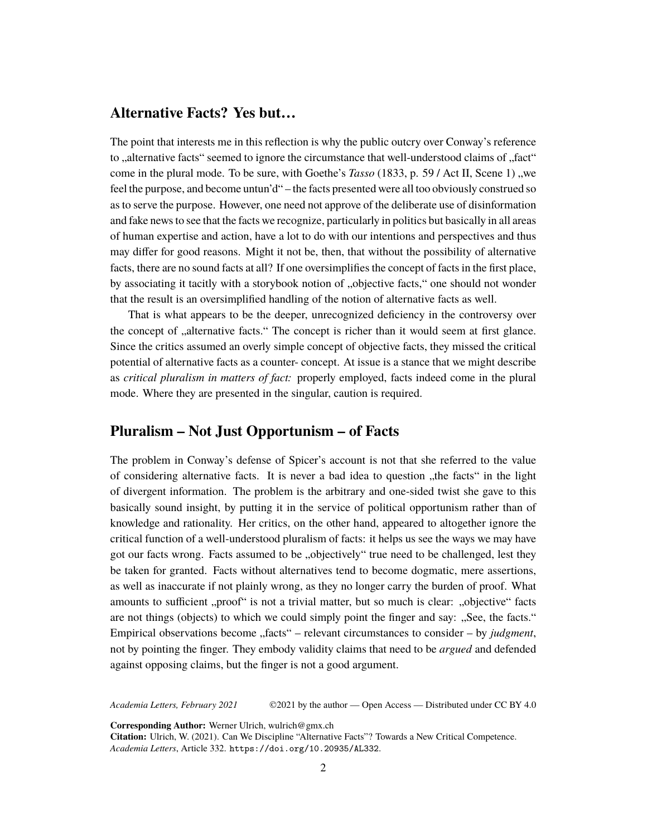#### **Alternative Facts? Yes but…**

The point that interests me in this reflection is why the public outcry over Conway's reference to ,,alternative facts" seemed to ignore the circumstance that well-understood claims of ..fact" come in the plural mode. To be sure, with Goethe's *Tasso* (1833, p. 59 / Act II, Scene 1), we feel the purpose, and become untun'd" – the facts presented were all too obviously construed so as to serve the purpose. However, one need not approve of the deliberate use of disinformation and fake news to see that the facts we recognize, particularly in politics but basically in all areas of human expertise and action, have a lot to do with our intentions and perspectives and thus may differ for good reasons. Might it not be, then, that without the possibility of alternative facts, there are no sound facts at all? If one oversimplifies the concept of facts in the first place, by associating it tacitly with a storybook notion of "objective facts," one should not wonder that the result is an oversimplified handling of the notion of alternative facts as well.

That is what appears to be the deeper, unrecognized deficiency in the controversy over the concept of "alternative facts." The concept is richer than it would seem at first glance. Since the critics assumed an overly simple concept of objective facts, they missed the critical potential of alternative facts as a counter- concept. At issue is a stance that we might describe as *critical pluralism in matters of fact:* properly employed, facts indeed come in the plural mode. Where they are presented in the singular, caution is required.

# **Pluralism – Not Just Opportunism – of Facts**

The problem in Conway's defense of Spicer's account is not that she referred to the value of considering alternative facts. It is never a bad idea to question "the facts" in the light of divergent information. The problem is the arbitrary and one-sided twist she gave to this basically sound insight, by putting it in the service of political opportunism rather than of knowledge and rationality. Her critics, on the other hand, appeared to altogether ignore the critical function of a well-understood pluralism of facts: it helps us see the ways we may have got our facts wrong. Facts assumed to be "objectively" true need to be challenged, lest they be taken for granted. Facts without alternatives tend to become dogmatic, mere assertions, as well as inaccurate if not plainly wrong, as they no longer carry the burden of proof. What amounts to sufficient "proof" is not a trivial matter, but so much is clear: "objective" facts are not things (objects) to which we could simply point the finger and say: "See, the facts." Empirical observations become "facts" – relevant circumstances to consider – by *judgment*, not by pointing the finger. They embody validity claims that need to be *argued* and defended against opposing claims, but the finger is not a good argument.

*Academia Letters, February 2021* ©2021 by the author — Open Access — Distributed under CC BY 4.0

**Corresponding Author:** Werner Ulrich, wulrich@gmx.ch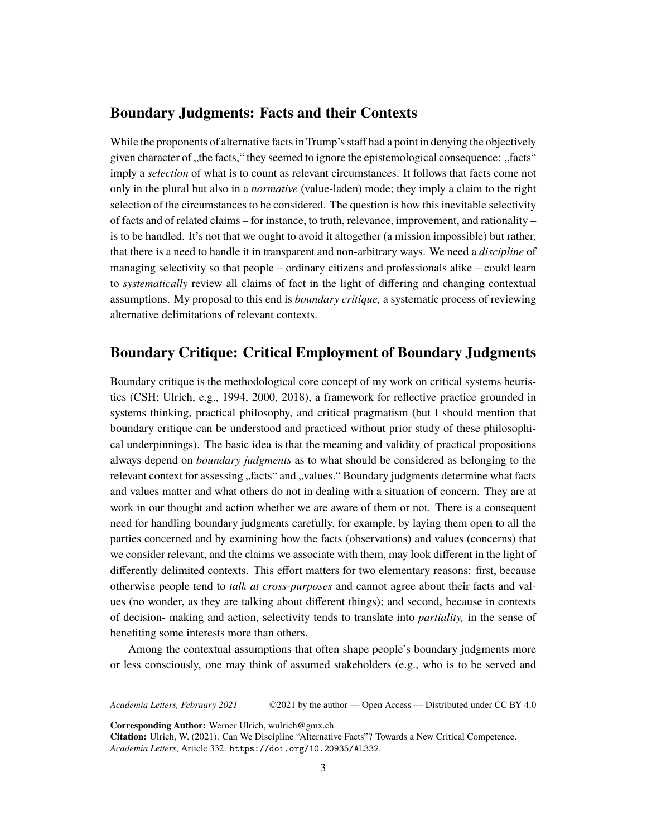#### **Boundary Judgments: Facts and their Contexts**

While the proponents of alternative facts in Trump's staff had a point in denying the objectively given character of , the facts, "they seemed to ignore the epistemological consequence: "facts" imply a *selection* of what is to count as relevant circumstances. It follows that facts come not only in the plural but also in a *normative* (value-laden) mode; they imply a claim to the right selection of the circumstances to be considered. The question is how this inevitable selectivity of facts and of related claims – for instance, to truth, relevance, improvement, and rationality – is to be handled. It's not that we ought to avoid it altogether (a mission impossible) but rather, that there is a need to handle it in transparent and non-arbitrary ways. We need a *discipline* of managing selectivity so that people – ordinary citizens and professionals alike – could learn to *systematically* review all claims of fact in the light of differing and changing contextual assumptions. My proposal to this end is *boundary critique,* a systematic process of reviewing alternative delimitations of relevant contexts.

### **Boundary Critique: Critical Employment of Boundary Judgments**

Boundary critique is the methodological core concept of my work on critical systems heuristics (CSH; Ulrich, e.g., 1994, 2000, 2018), a framework for reflective practice grounded in systems thinking, practical philosophy, and critical pragmatism (but I should mention that boundary critique can be understood and practiced without prior study of these philosophical underpinnings). The basic idea is that the meaning and validity of practical propositions always depend on *boundary judgments* as to what should be considered as belonging to the relevant context for assessing "facts" and "values." Boundary judgments determine what facts and values matter and what others do not in dealing with a situation of concern. They are at work in our thought and action whether we are aware of them or not. There is a consequent need for handling boundary judgments carefully, for example, by laying them open to all the parties concerned and by examining how the facts (observations) and values (concerns) that we consider relevant, and the claims we associate with them, may look different in the light of differently delimited contexts. This effort matters for two elementary reasons: first, because otherwise people tend to *talk at cross-purposes* and cannot agree about their facts and values (no wonder, as they are talking about different things); and second, because in contexts of decision- making and action, selectivity tends to translate into *partiality,* in the sense of benefiting some interests more than others.

Among the contextual assumptions that often shape people's boundary judgments more or less consciously, one may think of assumed stakeholders (e.g., who is to be served and

*Academia Letters, February 2021* ©2021 by the author — Open Access — Distributed under CC BY 4.0

**Corresponding Author:** Werner Ulrich, wulrich@gmx.ch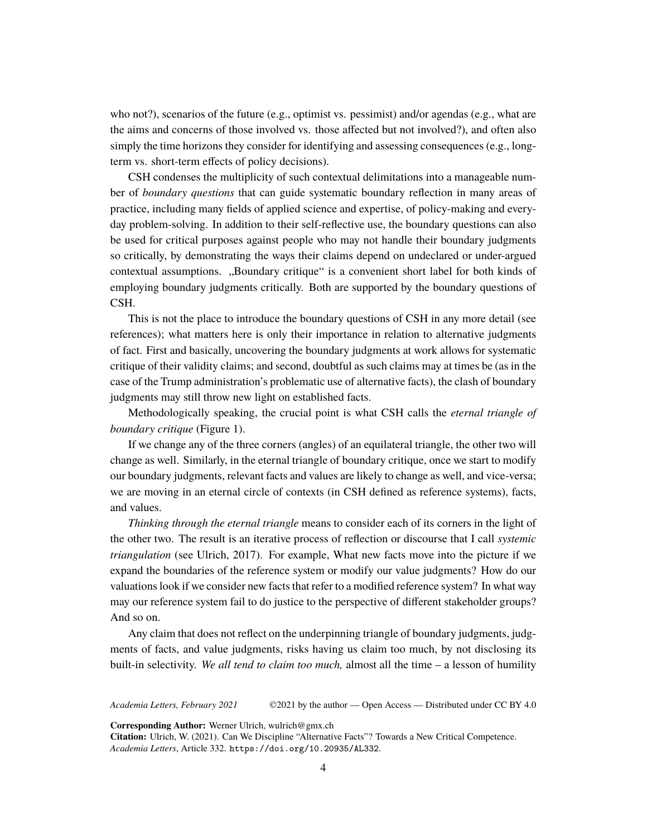who not?), scenarios of the future (e.g., optimist vs. pessimist) and/or agendas (e.g., what are the aims and concerns of those involved vs. those affected but not involved?), and often also simply the time horizons they consider for identifying and assessing consequences (e.g., longterm vs. short-term effects of policy decisions).

CSH condenses the multiplicity of such contextual delimitations into a manageable number of *boundary questions* that can guide systematic boundary reflection in many areas of practice, including many fields of applied science and expertise, of policy-making and everyday problem-solving. In addition to their self-reflective use, the boundary questions can also be used for critical purposes against people who may not handle their boundary judgments so critically, by demonstrating the ways their claims depend on undeclared or under-argued contextual assumptions. "Boundary critique" is a convenient short label for both kinds of employing boundary judgments critically. Both are supported by the boundary questions of CSH.

This is not the place to introduce the boundary questions of CSH in any more detail (see references); what matters here is only their importance in relation to alternative judgments of fact. First and basically, uncovering the boundary judgments at work allows for systematic critique of their validity claims; and second, doubtful as such claims may at times be (as in the case of the Trump administration's problematic use of alternative facts), the clash of boundary judgments may still throw new light on established facts.

Methodologically speaking, the crucial point is what CSH calls the *eternal triangle of boundary critique* (Figure 1).

If we change any of the three corners (angles) of an equilateral triangle, the other two will change as well. Similarly, in the eternal triangle of boundary critique, once we start to modify our boundary judgments, relevant facts and values are likely to change as well, and vice-versa; we are moving in an eternal circle of contexts (in CSH defined as reference systems), facts, and values.

*Thinking through the eternal triangle* means to consider each of its corners in the light of the other two. The result is an iterative process of reflection or discourse that I call *systemic triangulation* (see Ulrich, 2017). For example, What new facts move into the picture if we expand the boundaries of the reference system or modify our value judgments? How do our valuations look if we consider new facts that refer to a modified reference system? In what way may our reference system fail to do justice to the perspective of different stakeholder groups? And so on.

Any claim that does not reflect on the underpinning triangle of boundary judgments, judgments of facts, and value judgments, risks having us claim too much, by not disclosing its built-in selectivity. *We all tend to claim too much,* almost all the time – a lesson of humility

*Academia Letters, February 2021* ©2021 by the author — Open Access — Distributed under CC BY 4.0

**Corresponding Author:** Werner Ulrich, wulrich@gmx.ch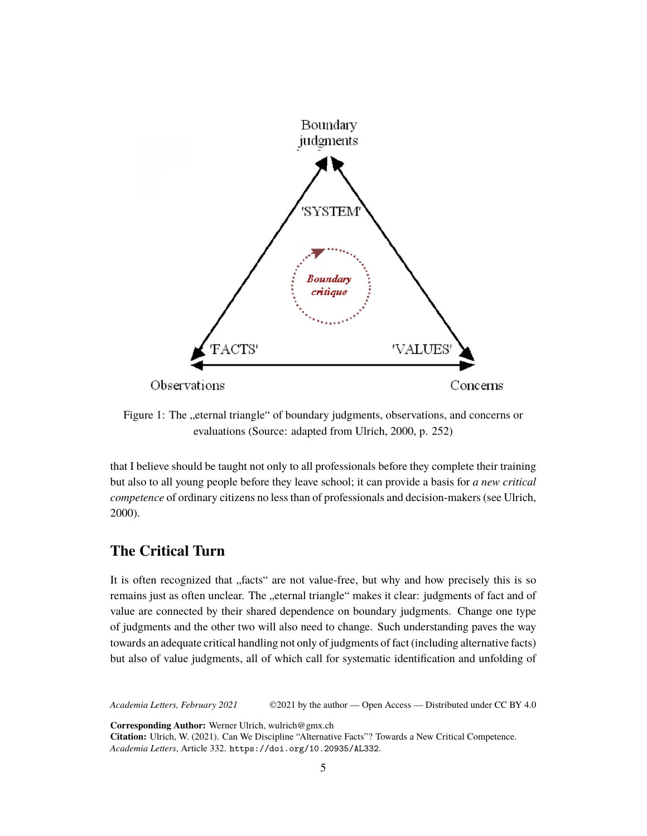

Figure 1: The "eternal triangle" of boundary judgments, observations, and concerns or evaluations (Source: adapted from Ulrich, 2000, p. 252)

that I believe should be taught not only to all professionals before they complete their training but also to all young people before they leave school; it can provide a basis for *a new critical competence* of ordinary citizens no less than of professionals and decision-makers (see Ulrich, 2000).

### **The Critical Turn**

It is often recognized that "facts" are not value-free, but why and how precisely this is so remains just as often unclear. The "eternal triangle" makes it clear: judgments of fact and of value are connected by their shared dependence on boundary judgments. Change one type of judgments and the other two will also need to change. Such understanding paves the way towards an adequate critical handling not only of judgments of fact (including alternative facts) but also of value judgments, all of which call for systematic identification and unfolding of

*Academia Letters, February 2021* ©2021 by the author — Open Access — Distributed under CC BY 4.0

**Corresponding Author:** Werner Ulrich, wulrich@gmx.ch **Citation:** Ulrich, W. (2021). Can We Discipline "Alternative Facts"? Towards a New Critical Competence. *Academia Letters*, Article 332. <https://doi.org/10.20935/AL332>.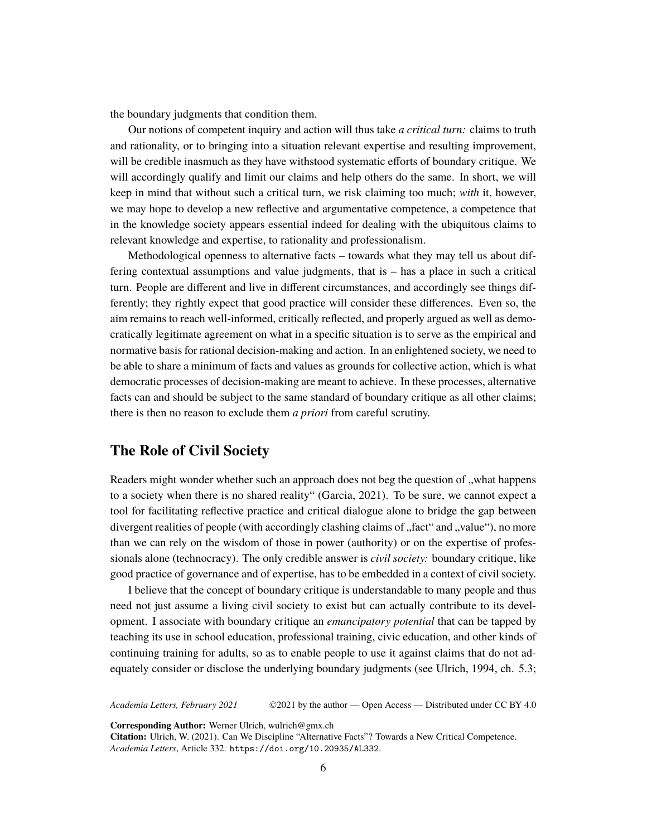the boundary judgments that condition them.

Our notions of competent inquiry and action will thus take *a critical turn:* claims to truth and rationality, or to bringing into a situation relevant expertise and resulting improvement, will be credible inasmuch as they have withstood systematic efforts of boundary critique. We will accordingly qualify and limit our claims and help others do the same. In short, we will keep in mind that without such a critical turn, we risk claiming too much; *with* it, however, we may hope to develop a new reflective and argumentative competence, a competence that in the knowledge society appears essential indeed for dealing with the ubiquitous claims to relevant knowledge and expertise, to rationality and professionalism.

Methodological openness to alternative facts – towards what they may tell us about differing contextual assumptions and value judgments, that is – has a place in such a critical turn. People are different and live in different circumstances, and accordingly see things differently; they rightly expect that good practice will consider these differences. Even so, the aim remains to reach well-informed, critically reflected, and properly argued as well as democratically legitimate agreement on what in a specific situation is to serve as the empirical and normative basis for rational decision-making and action. In an enlightened society, we need to be able to share a minimum of facts and values as grounds for collective action, which is what democratic processes of decision-making are meant to achieve. In these processes, alternative facts can and should be subject to the same standard of boundary critique as all other claims; there is then no reason to exclude them *a priori* from careful scrutiny.

### **The Role of Civil Society**

Readers might wonder whether such an approach does not beg the question of "what happens to a society when there is no shared reality" (Garcia, 2021). To be sure, we cannot expect a tool for facilitating reflective practice and critical dialogue alone to bridge the gap between divergent realities of people (with accordingly clashing claims of "fact" and "value"), no more than we can rely on the wisdom of those in power (authority) or on the expertise of professionals alone (technocracy). The only credible answer is *civil society:* boundary critique, like good practice of governance and of expertise, has to be embedded in a context of civil society.

I believe that the concept of boundary critique is understandable to many people and thus need not just assume a living civil society to exist but can actually contribute to its development. I associate with boundary critique an *emancipatory potential* that can be tapped by teaching its use in school education, professional training, civic education, and other kinds of continuing training for adults, so as to enable people to use it against claims that do not adequately consider or disclose the underlying boundary judgments (see Ulrich, 1994, ch. 5.3;

*Academia Letters, February 2021* ©2021 by the author — Open Access — Distributed under CC BY 4.0

**Corresponding Author:** Werner Ulrich, wulrich@gmx.ch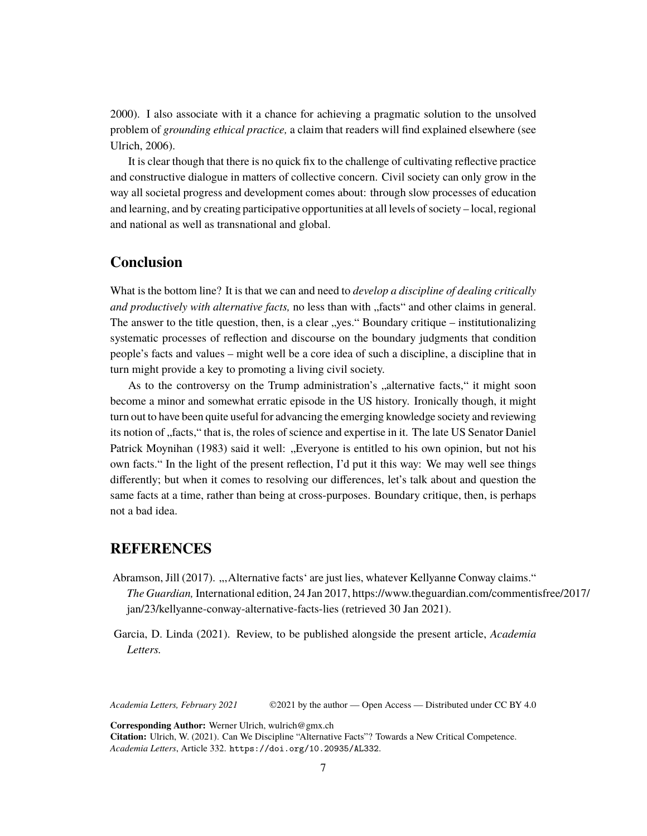2000). I also associate with it a chance for achieving a pragmatic solution to the unsolved problem of *grounding ethical practice,* a claim that readers will find explained elsewhere (see Ulrich, 2006).

It is clear though that there is no quick fix to the challenge of cultivating reflective practice and constructive dialogue in matters of collective concern. Civil society can only grow in the way all societal progress and development comes about: through slow processes of education and learning, and by creating participative opportunities at all levels of society – local, regional and national as well as transnational and global.

## **Conclusion**

What is the bottom line? It is that we can and need to *develop a discipline of dealing critically and productively with alternative facts*, no less than with "facts" and other claims in general. The answer to the title question, then, is a clear "yes." Boundary critique – institutionalizing systematic processes of reflection and discourse on the boundary judgments that condition people's facts and values – might well be a core idea of such a discipline, a discipline that in turn might provide a key to promoting a living civil society.

As to the controversy on the Trump administration's "alternative facts," it might soon become a minor and somewhat erratic episode in the US history. Ironically though, it might turn out to have been quite useful for advancing the emerging knowledge society and reviewing its notion of "facts," that is, the roles of science and expertise in it. The late US Senator Daniel Patrick Moynihan (1983) said it well: "Everyone is entitled to his own opinion, but not his own facts." In the light of the present reflection, I'd put it this way: We may well see things differently; but when it comes to resolving our differences, let's talk about and question the same facts at a time, rather than being at cross-purposes. Boundary critique, then, is perhaps not a bad idea.

#### **REFERENCES**

Abramson, Jill (2017). "Alternative facts' are just lies, whatever Kellyanne Conway claims." *The Guardian,* International edition, 24 Jan 2017, https://www.theguardian.com/commentisfree/2017/ jan/23/kellyanne-conway-alternative-facts-lies (retrieved 30 Jan 2021).

Garcia, D. Linda (2021). Review, to be published alongside the present article, *Academia Letters.*

*Academia Letters, February 2021* ©2021 by the author — Open Access — Distributed under CC BY 4.0

**Corresponding Author:** Werner Ulrich, wulrich@gmx.ch **Citation:** Ulrich, W. (2021). Can We Discipline "Alternative Facts"? Towards a New Critical Competence. *Academia Letters*, Article 332. <https://doi.org/10.20935/AL332>.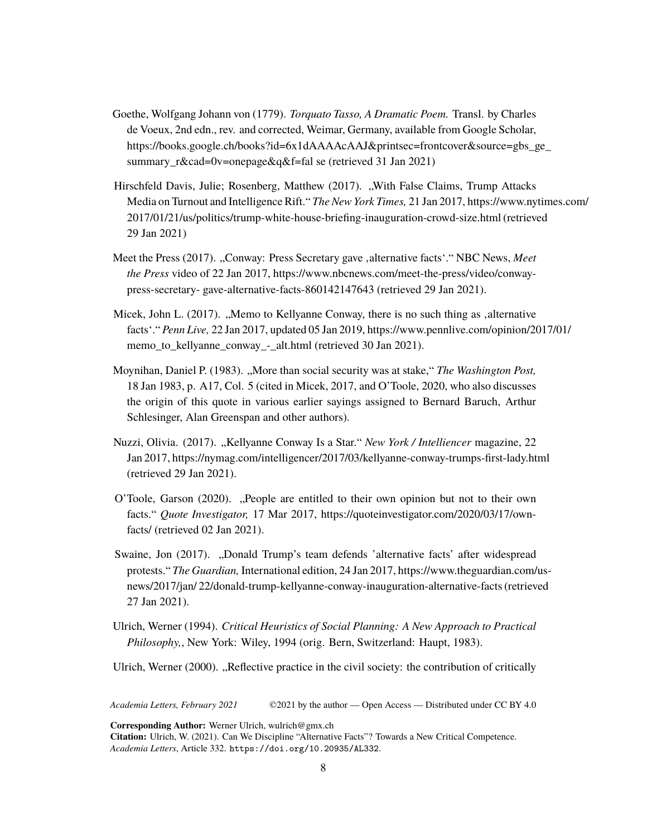- Goethe, Wolfgang Johann von (1779). *Torquato Tasso, A Dramatic Poem.* Transl. by Charles de Voeux, 2nd edn., rev. and corrected, Weimar, Germany, available from Google Scholar, [https://books.google.ch/books?id=6x1dAAAAcAAJ&printsec=frontcover&source=gbs\\_ge\\_](https://%20books.google.ch/books?id=6x1dAAAAcAAJ&printsec=frontcover&source=gbs_ge_summary_r&cad=0#v=onepage&q&f=fal%20se) [summary\\_r&cad=0v=onepage&q&f=fal se](https://%20books.google.ch/books?id=6x1dAAAAcAAJ&printsec=frontcover&source=gbs_ge_summary_r&cad=0#v=onepage&q&f=fal%20se) (retrieved 31 Jan 2021)
- Hirschfeld Davis, Julie; Rosenberg, Matthew (2017). "With False Claims, Trump Attacks Media on Turnout and Intelligence Rift." *The New York Times,* 21 Jan 2017, https://www.nytimes.com/ 2017/01/21/us/politics/trump-white-house-briefing-inauguration-crowd-size.html (retrieved 29 Jan 2021)
- Meet the Press (2017). "Conway: Press Secretary gave , alternative facts<sup>\*</sup>." NBC News, *Meet the Press* video of 22 Jan 2017, https://www.nbcnews.com/meet-the-press/video/conwaypress-secretary- gave-alternative-facts-860142147643 (retrieved 29 Jan 2021).
- Micek, John L.  $(2017)$ . "Memo to Kellyanne Conway, there is no such thing as  $\alpha$ , alternative facts'." *Penn Live,* 22 Jan 2017, updated 05 Jan 2019, https://www.pennlive.com/opinion/2017/01/ memo\_to\_kellyanne\_conway\_-\_alt.html (retrieved 30 Jan 2021).
- Moynihan, Daniel P. (1983). "More than social security was at stake," *The Washington Post,* 18 Jan 1983, p. A17, Col. 5 (cited in Micek, 2017, and O'Toole, 2020, who also discusses the origin of this quote in various earlier sayings assigned to Bernard Baruch, Arthur Schlesinger, Alan Greenspan and other authors).
- Nuzzi, Olivia. (2017). "Kellyanne Conway Is a Star." *New York / Intelliencer* magazine, 22 Jan 2017, https://nymag.com/intelligencer/2017/03/kellyanne-conway-trumps-first-lady.html (retrieved 29 Jan 2021).
- O'Toole, Garson (2020). "People are entitled to their own opinion but not to their own facts." *Quote Investigator,* 17 Mar 2017, https://quoteinvestigator.com/2020/03/17/ownfacts/ (retrieved 02 Jan 2021).
- Swaine, Jon (2017). "Donald Trump's team defends 'alternative facts' after widespread protests." *The Guardian,* International edition, 24 Jan 2017, https://www.theguardian.com/usnews/2017/jan/ 22/donald-trump-kellyanne-conway-inauguration-alternative-facts (retrieved 27 Jan 2021).
- Ulrich, Werner (1994). *Critical Heuristics of Social Planning: A New Approach to Practical Philosophy,*, New York: Wiley, 1994 (orig. Bern, Switzerland: Haupt, 1983).
- Ulrich, Werner (2000). "Reflective practice in the civil society: the contribution of critically

*Academia Letters, February 2021* ©2021 by the author — Open Access — Distributed under CC BY 4.0

**Corresponding Author:** Werner Ulrich, wulrich@gmx.ch